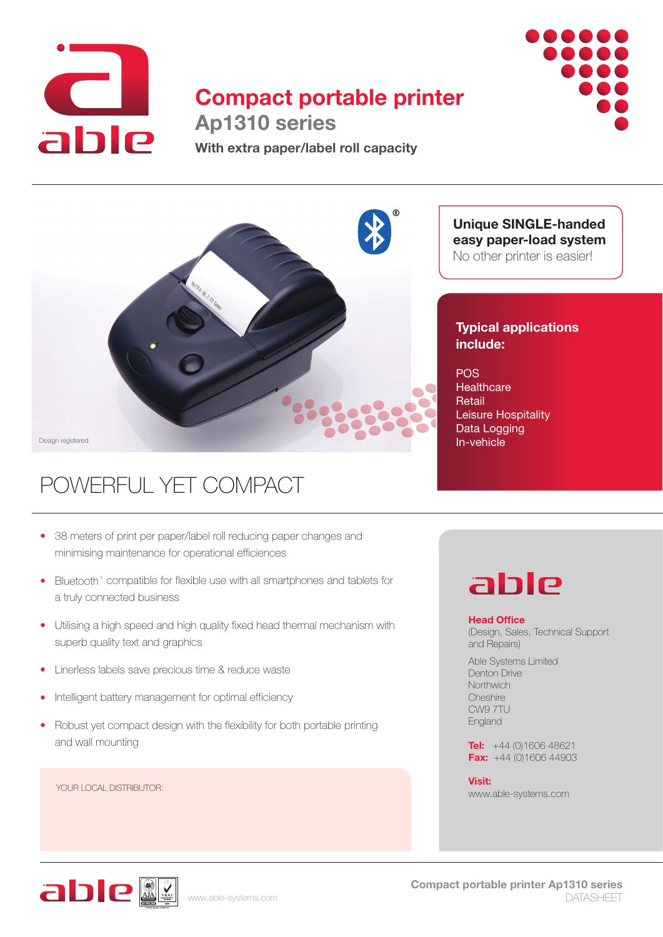

## **Compact portable printer Ap1310 series**



**With extra paper/label roll capacity**



# POWERFUL YET COMPACT

- 38 meters of print per paper/label roll reducing paper changes and minimising maintenance for operational efficiences
- Bluetooth<sup>®</sup> compatible for flexible use with all smartphones and tablets for a truly connected business
- Utilising a high speed and high quality fixed head thermal mechanism with superb quality text and graphics
- Linerless labels save precious time & reduce waste
- Intelligent battery management for optimal efficiency •
- Robust yet compact design with the flexibility for both portable printing and wall mounting

YOUR LOCAL DISTRIBUTOR:

**Unique SINGLE-handed easy paper-load system**  No other printer is easier!

### **Typical applications include:**

**POS Healthcare** Retail Leisure Hospitality Data Logging In-vehicle

# able

#### **Head Office**

(Design, Sales, Technical Support and Repairs)

Able Systems Limited Denton Drive **Northwich Cheshire** CW9 7TU England

**Tel:** +44 (0)1606 48621 **Fax:** +44 (0)1606 44903

**Visit:** www.able-systems.com